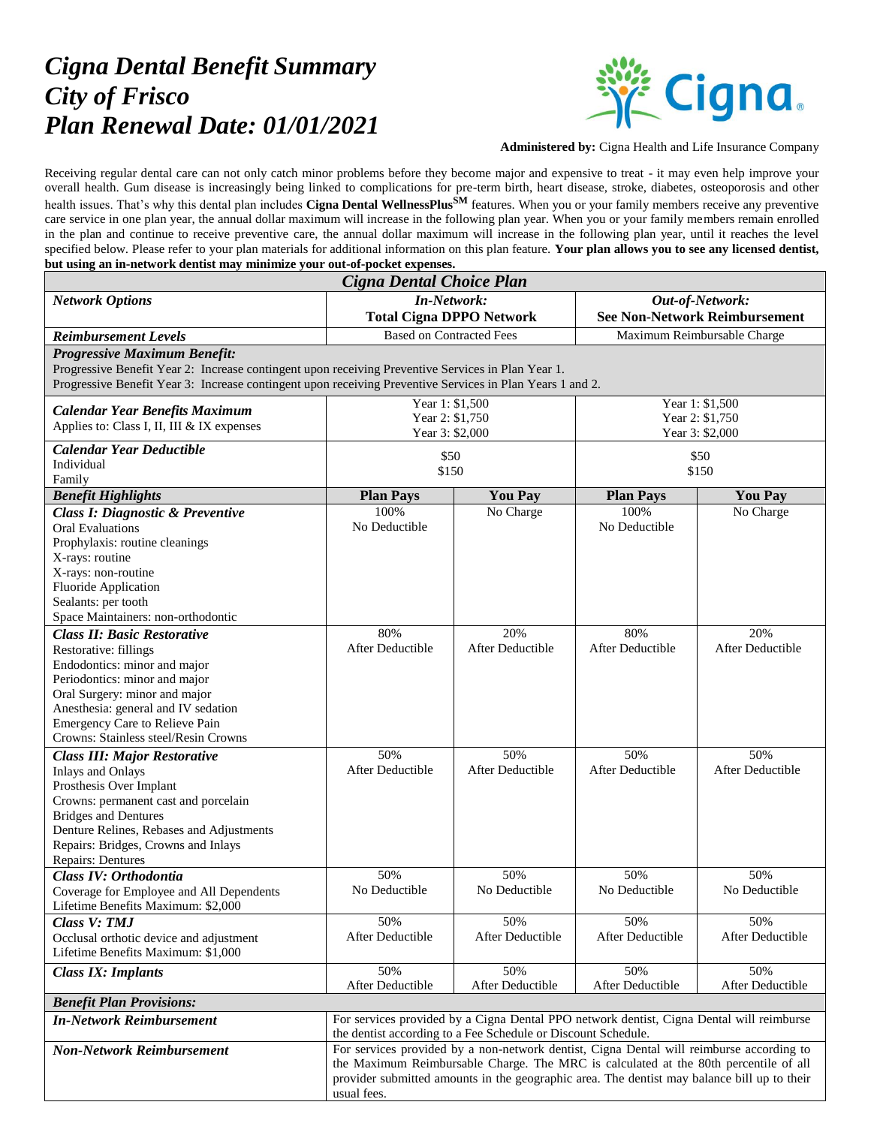## *Cigna Dental Benefit Summary City of Frisco Plan Renewal Date: 01/01/2021*



**Administered by:** Cigna Health and Life Insurance Company

Receiving regular dental care can not only catch minor problems before they become major and expensive to treat - it may even help improve your overall health. Gum disease is increasingly being linked to complications for pre-term birth, heart disease, stroke, diabetes, osteoporosis and other health issues. That's why this dental plan includes **Cigna Dental WellnessPlusSM** features. When you or your family members receive any preventive care service in one plan year, the annual dollar maximum will increase in the following plan year. When you or your family members remain enrolled in the plan and continue to receive preventive care, the annual dollar maximum will increase in the following plan year, until it reaches the level specified below. Please refer to your plan materials for additional information on this plan feature. **Your plan allows you to see any licensed dentist, but using an in-network dentist may minimize your out-of-pocket expenses.**

| Cigna Dental Choice Plan                                                                                  |                                                                                                                                                           |                         |                                      |                             |  |
|-----------------------------------------------------------------------------------------------------------|-----------------------------------------------------------------------------------------------------------------------------------------------------------|-------------------------|--------------------------------------|-----------------------------|--|
| <b>Network Options</b>                                                                                    | <b>In-Network:</b>                                                                                                                                        |                         | Out-of-Network:                      |                             |  |
|                                                                                                           | <b>Total Cigna DPPO Network</b>                                                                                                                           |                         | <b>See Non-Network Reimbursement</b> |                             |  |
| <b>Reimbursement Levels</b>                                                                               | <b>Based on Contracted Fees</b>                                                                                                                           |                         | Maximum Reimbursable Charge          |                             |  |
| <b>Progressive Maximum Benefit:</b>                                                                       |                                                                                                                                                           |                         |                                      |                             |  |
| Progressive Benefit Year 2: Increase contingent upon receiving Preventive Services in Plan Year 1.        |                                                                                                                                                           |                         |                                      |                             |  |
| Progressive Benefit Year 3: Increase contingent upon receiving Preventive Services in Plan Years 1 and 2. |                                                                                                                                                           |                         |                                      |                             |  |
|                                                                                                           | Year 1: $$1,500$                                                                                                                                          |                         | Year 1: \$1,500                      |                             |  |
| <b>Calendar Year Benefits Maximum</b><br>Applies to: Class I, II, III & IX expenses                       | Year 2: \$1,750                                                                                                                                           |                         | Year 2: \$1,750                      |                             |  |
|                                                                                                           | Year 3: \$2,000                                                                                                                                           |                         | Year 3: \$2,000                      |                             |  |
| <b>Calendar Year Deductible</b>                                                                           | \$50                                                                                                                                                      |                         | \$50                                 |                             |  |
| Individual                                                                                                | \$150                                                                                                                                                     |                         | \$150                                |                             |  |
| Family                                                                                                    | <b>You Pay</b>                                                                                                                                            |                         |                                      |                             |  |
| <b>Benefit Highlights</b>                                                                                 | <b>Plan Pays</b><br>100%                                                                                                                                  | No Charge               | <b>Plan Pays</b><br>100%             | <b>You Pay</b><br>No Charge |  |
| <b>Class I: Diagnostic &amp; Preventive</b><br><b>Oral Evaluations</b>                                    | No Deductible                                                                                                                                             |                         | No Deductible                        |                             |  |
| Prophylaxis: routine cleanings                                                                            |                                                                                                                                                           |                         |                                      |                             |  |
| X-rays: routine                                                                                           |                                                                                                                                                           |                         |                                      |                             |  |
| X-rays: non-routine                                                                                       |                                                                                                                                                           |                         |                                      |                             |  |
| <b>Fluoride Application</b>                                                                               |                                                                                                                                                           |                         |                                      |                             |  |
| Sealants: per tooth                                                                                       |                                                                                                                                                           |                         |                                      |                             |  |
| Space Maintainers: non-orthodontic                                                                        |                                                                                                                                                           |                         |                                      |                             |  |
| <b>Class II: Basic Restorative</b>                                                                        | 80%                                                                                                                                                       | 20%                     | 80%                                  | 20%                         |  |
| Restorative: fillings                                                                                     | After Deductible                                                                                                                                          | After Deductible        | After Deductible                     | After Deductible            |  |
| Endodontics: minor and major<br>Periodontics: minor and major                                             |                                                                                                                                                           |                         |                                      |                             |  |
| Oral Surgery: minor and major                                                                             |                                                                                                                                                           |                         |                                      |                             |  |
| Anesthesia: general and IV sedation                                                                       |                                                                                                                                                           |                         |                                      |                             |  |
| <b>Emergency Care to Relieve Pain</b>                                                                     |                                                                                                                                                           |                         |                                      |                             |  |
| Crowns: Stainless steel/Resin Crowns                                                                      |                                                                                                                                                           |                         |                                      |                             |  |
| <b>Class III: Major Restorative</b>                                                                       | 50%                                                                                                                                                       | 50%                     | 50%                                  | 50%                         |  |
| <b>Inlays and Onlays</b>                                                                                  | After Deductible                                                                                                                                          | <b>After Deductible</b> | After Deductible                     | <b>After Deductible</b>     |  |
| Prosthesis Over Implant                                                                                   |                                                                                                                                                           |                         |                                      |                             |  |
| Crowns: permanent cast and porcelain                                                                      |                                                                                                                                                           |                         |                                      |                             |  |
| <b>Bridges and Dentures</b><br>Denture Relines, Rebases and Adjustments                                   |                                                                                                                                                           |                         |                                      |                             |  |
| Repairs: Bridges, Crowns and Inlays                                                                       |                                                                                                                                                           |                         |                                      |                             |  |
| Repairs: Dentures                                                                                         |                                                                                                                                                           |                         |                                      |                             |  |
| Class IV: Orthodontia                                                                                     | 50%                                                                                                                                                       | 50%                     | 50%                                  | 50%                         |  |
| Coverage for Employee and All Dependents                                                                  | No Deductible                                                                                                                                             | No Deductible           | No Deductible                        | No Deductible               |  |
| Lifetime Benefits Maximum: \$2,000                                                                        |                                                                                                                                                           |                         |                                      |                             |  |
| Class V: TMJ                                                                                              | 50%                                                                                                                                                       | 50%                     | 50%                                  | 50%                         |  |
| Occlusal orthotic device and adjustment                                                                   | After Deductible                                                                                                                                          | After Deductible        | After Deductible                     | After Deductible            |  |
| Lifetime Benefits Maximum: \$1,000                                                                        |                                                                                                                                                           |                         |                                      |                             |  |
| <b>Class IX: Implants</b>                                                                                 | 50%                                                                                                                                                       | 50%                     | 50%                                  | 50%                         |  |
|                                                                                                           | After Deductible                                                                                                                                          | After Deductible        | After Deductible                     | After Deductible            |  |
| <b>Benefit Plan Provisions:</b>                                                                           |                                                                                                                                                           |                         |                                      |                             |  |
| <b>In-Network Reimbursement</b>                                                                           | For services provided by a Cigna Dental PPO network dentist, Cigna Dental will reimburse<br>the dentist according to a Fee Schedule or Discount Schedule. |                         |                                      |                             |  |
| <b>Non-Network Reimbursement</b>                                                                          | For services provided by a non-network dentist, Cigna Dental will reimburse according to                                                                  |                         |                                      |                             |  |
|                                                                                                           | the Maximum Reimbursable Charge. The MRC is calculated at the 80th percentile of all                                                                      |                         |                                      |                             |  |
|                                                                                                           | provider submitted amounts in the geographic area. The dentist may balance bill up to their                                                               |                         |                                      |                             |  |
|                                                                                                           | usual fees.                                                                                                                                               |                         |                                      |                             |  |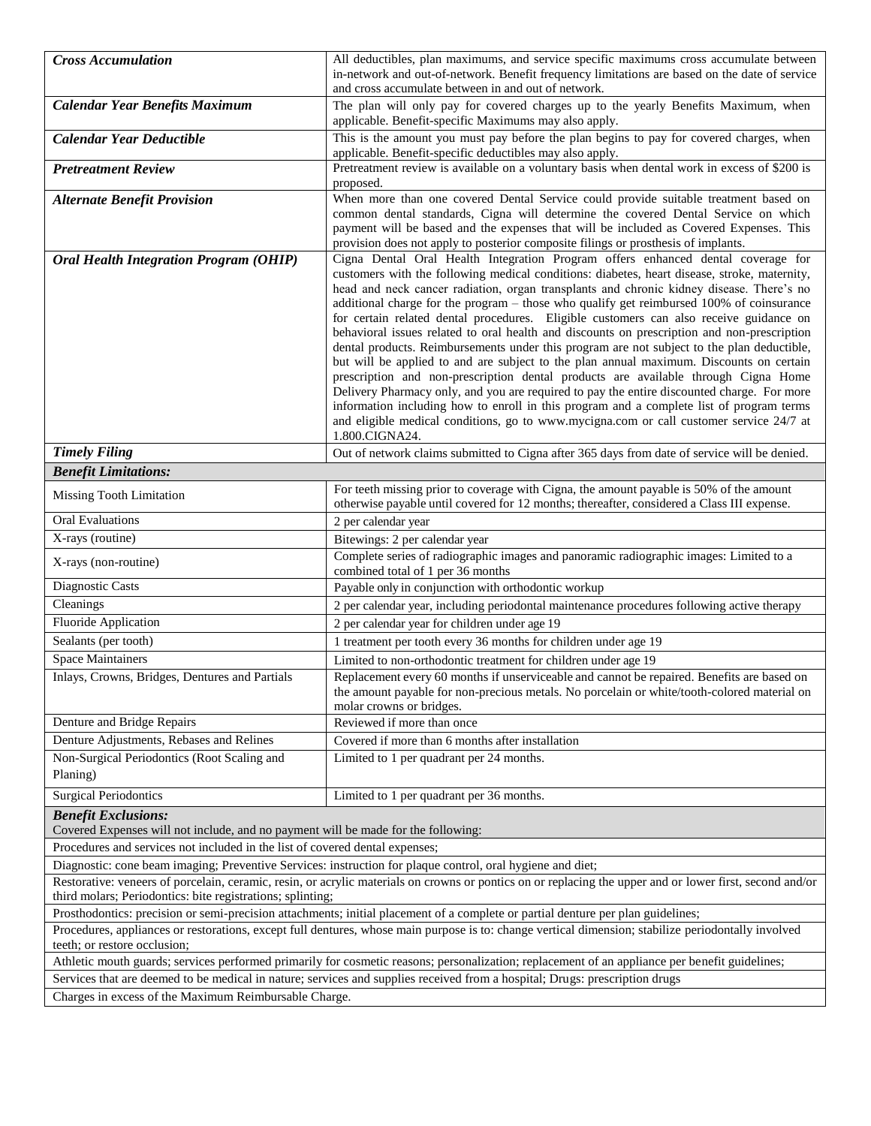| <b>Cross Accumulation</b>                                                                                                                                                                                              | All deductibles, plan maximums, and service specific maximums cross accumulate between                                                                                                                                                                                                                                                                                                                                                                                                                                                                                                                                                                                                                                                                                                                                                                                                                                                                                                                                                                                                                                                |  |  |
|------------------------------------------------------------------------------------------------------------------------------------------------------------------------------------------------------------------------|---------------------------------------------------------------------------------------------------------------------------------------------------------------------------------------------------------------------------------------------------------------------------------------------------------------------------------------------------------------------------------------------------------------------------------------------------------------------------------------------------------------------------------------------------------------------------------------------------------------------------------------------------------------------------------------------------------------------------------------------------------------------------------------------------------------------------------------------------------------------------------------------------------------------------------------------------------------------------------------------------------------------------------------------------------------------------------------------------------------------------------------|--|--|
|                                                                                                                                                                                                                        | in-network and out-of-network. Benefit frequency limitations are based on the date of service<br>and cross accumulate between in and out of network.                                                                                                                                                                                                                                                                                                                                                                                                                                                                                                                                                                                                                                                                                                                                                                                                                                                                                                                                                                                  |  |  |
| <b>Calendar Year Benefits Maximum</b>                                                                                                                                                                                  | The plan will only pay for covered charges up to the yearly Benefits Maximum, when                                                                                                                                                                                                                                                                                                                                                                                                                                                                                                                                                                                                                                                                                                                                                                                                                                                                                                                                                                                                                                                    |  |  |
|                                                                                                                                                                                                                        | applicable. Benefit-specific Maximums may also apply.                                                                                                                                                                                                                                                                                                                                                                                                                                                                                                                                                                                                                                                                                                                                                                                                                                                                                                                                                                                                                                                                                 |  |  |
| <b>Calendar Year Deductible</b>                                                                                                                                                                                        | This is the amount you must pay before the plan begins to pay for covered charges, when<br>applicable. Benefit-specific deductibles may also apply.                                                                                                                                                                                                                                                                                                                                                                                                                                                                                                                                                                                                                                                                                                                                                                                                                                                                                                                                                                                   |  |  |
| <b>Pretreatment Review</b>                                                                                                                                                                                             | Pretreatment review is available on a voluntary basis when dental work in excess of \$200 is                                                                                                                                                                                                                                                                                                                                                                                                                                                                                                                                                                                                                                                                                                                                                                                                                                                                                                                                                                                                                                          |  |  |
|                                                                                                                                                                                                                        | proposed.                                                                                                                                                                                                                                                                                                                                                                                                                                                                                                                                                                                                                                                                                                                                                                                                                                                                                                                                                                                                                                                                                                                             |  |  |
| <b>Alternate Benefit Provision</b>                                                                                                                                                                                     | When more than one covered Dental Service could provide suitable treatment based on<br>common dental standards, Cigna will determine the covered Dental Service on which<br>payment will be based and the expenses that will be included as Covered Expenses. This<br>provision does not apply to posterior composite filings or prosthesis of implants.                                                                                                                                                                                                                                                                                                                                                                                                                                                                                                                                                                                                                                                                                                                                                                              |  |  |
| <b>Oral Health Integration Program (OHIP)</b>                                                                                                                                                                          | Cigna Dental Oral Health Integration Program offers enhanced dental coverage for<br>customers with the following medical conditions: diabetes, heart disease, stroke, maternity,<br>head and neck cancer radiation, organ transplants and chronic kidney disease. There's no<br>additional charge for the program – those who qualify get reimbursed 100% of coinsurance<br>for certain related dental procedures. Eligible customers can also receive guidance on<br>behavioral issues related to oral health and discounts on prescription and non-prescription<br>dental products. Reimbursements under this program are not subject to the plan deductible,<br>but will be applied to and are subject to the plan annual maximum. Discounts on certain<br>prescription and non-prescription dental products are available through Cigna Home<br>Delivery Pharmacy only, and you are required to pay the entire discounted charge. For more<br>information including how to enroll in this program and a complete list of program terms<br>and eligible medical conditions, go to www.mycigna.com or call customer service 24/7 at |  |  |
|                                                                                                                                                                                                                        | 1.800.CIGNA24.                                                                                                                                                                                                                                                                                                                                                                                                                                                                                                                                                                                                                                                                                                                                                                                                                                                                                                                                                                                                                                                                                                                        |  |  |
| <b>Timely Filing</b>                                                                                                                                                                                                   | Out of network claims submitted to Cigna after 365 days from date of service will be denied.                                                                                                                                                                                                                                                                                                                                                                                                                                                                                                                                                                                                                                                                                                                                                                                                                                                                                                                                                                                                                                          |  |  |
| <b>Benefit Limitations:</b>                                                                                                                                                                                            |                                                                                                                                                                                                                                                                                                                                                                                                                                                                                                                                                                                                                                                                                                                                                                                                                                                                                                                                                                                                                                                                                                                                       |  |  |
| Missing Tooth Limitation                                                                                                                                                                                               | For teeth missing prior to coverage with Cigna, the amount payable is 50% of the amount<br>otherwise payable until covered for 12 months; thereafter, considered a Class III expense.                                                                                                                                                                                                                                                                                                                                                                                                                                                                                                                                                                                                                                                                                                                                                                                                                                                                                                                                                 |  |  |
| <b>Oral Evaluations</b>                                                                                                                                                                                                | 2 per calendar year                                                                                                                                                                                                                                                                                                                                                                                                                                                                                                                                                                                                                                                                                                                                                                                                                                                                                                                                                                                                                                                                                                                   |  |  |
| X-rays (routine)                                                                                                                                                                                                       | Bitewings: 2 per calendar year                                                                                                                                                                                                                                                                                                                                                                                                                                                                                                                                                                                                                                                                                                                                                                                                                                                                                                                                                                                                                                                                                                        |  |  |
| X-rays (non-routine)                                                                                                                                                                                                   | Complete series of radiographic images and panoramic radiographic images: Limited to a<br>combined total of 1 per 36 months                                                                                                                                                                                                                                                                                                                                                                                                                                                                                                                                                                                                                                                                                                                                                                                                                                                                                                                                                                                                           |  |  |
| Diagnostic Casts                                                                                                                                                                                                       | Payable only in conjunction with orthodontic workup                                                                                                                                                                                                                                                                                                                                                                                                                                                                                                                                                                                                                                                                                                                                                                                                                                                                                                                                                                                                                                                                                   |  |  |
| Cleanings                                                                                                                                                                                                              | 2 per calendar year, including periodontal maintenance procedures following active therapy                                                                                                                                                                                                                                                                                                                                                                                                                                                                                                                                                                                                                                                                                                                                                                                                                                                                                                                                                                                                                                            |  |  |
| Fluoride Application                                                                                                                                                                                                   | 2 per calendar year for children under age 19                                                                                                                                                                                                                                                                                                                                                                                                                                                                                                                                                                                                                                                                                                                                                                                                                                                                                                                                                                                                                                                                                         |  |  |
| Sealants (per tooth)                                                                                                                                                                                                   | 1 treatment per tooth every 36 months for children under age 19                                                                                                                                                                                                                                                                                                                                                                                                                                                                                                                                                                                                                                                                                                                                                                                                                                                                                                                                                                                                                                                                       |  |  |
| <b>Space Maintainers</b>                                                                                                                                                                                               | Limited to non-orthodontic treatment for children under age 19                                                                                                                                                                                                                                                                                                                                                                                                                                                                                                                                                                                                                                                                                                                                                                                                                                                                                                                                                                                                                                                                        |  |  |
| Inlays, Crowns, Bridges, Dentures and Partials                                                                                                                                                                         | Replacement every 60 months if unserviceable and cannot be repaired. Benefits are based on<br>the amount payable for non-precious metals. No porcelain or white/tooth-colored material on<br>molar crowns or bridges.                                                                                                                                                                                                                                                                                                                                                                                                                                                                                                                                                                                                                                                                                                                                                                                                                                                                                                                 |  |  |
| Denture and Bridge Repairs                                                                                                                                                                                             | Reviewed if more than once                                                                                                                                                                                                                                                                                                                                                                                                                                                                                                                                                                                                                                                                                                                                                                                                                                                                                                                                                                                                                                                                                                            |  |  |
| Denture Adjustments, Rebases and Relines                                                                                                                                                                               | Covered if more than 6 months after installation                                                                                                                                                                                                                                                                                                                                                                                                                                                                                                                                                                                                                                                                                                                                                                                                                                                                                                                                                                                                                                                                                      |  |  |
| Non-Surgical Periodontics (Root Scaling and<br>Planing)                                                                                                                                                                | Limited to 1 per quadrant per 24 months.                                                                                                                                                                                                                                                                                                                                                                                                                                                                                                                                                                                                                                                                                                                                                                                                                                                                                                                                                                                                                                                                                              |  |  |
| <b>Surgical Periodontics</b>                                                                                                                                                                                           | Limited to 1 per quadrant per 36 months.                                                                                                                                                                                                                                                                                                                                                                                                                                                                                                                                                                                                                                                                                                                                                                                                                                                                                                                                                                                                                                                                                              |  |  |
| <b>Benefit Exclusions:</b>                                                                                                                                                                                             |                                                                                                                                                                                                                                                                                                                                                                                                                                                                                                                                                                                                                                                                                                                                                                                                                                                                                                                                                                                                                                                                                                                                       |  |  |
| Covered Expenses will not include, and no payment will be made for the following:<br>Procedures and services not included in the list of covered dental expenses;                                                      |                                                                                                                                                                                                                                                                                                                                                                                                                                                                                                                                                                                                                                                                                                                                                                                                                                                                                                                                                                                                                                                                                                                                       |  |  |
| Diagnostic: cone beam imaging; Preventive Services: instruction for plaque control, oral hygiene and diet;                                                                                                             |                                                                                                                                                                                                                                                                                                                                                                                                                                                                                                                                                                                                                                                                                                                                                                                                                                                                                                                                                                                                                                                                                                                                       |  |  |
| Restorative: veneers of porcelain, ceramic, resin, or acrylic materials on crowns or pontics on or replacing the upper and or lower first, second and/or<br>third molars; Periodontics: bite registrations; splinting; |                                                                                                                                                                                                                                                                                                                                                                                                                                                                                                                                                                                                                                                                                                                                                                                                                                                                                                                                                                                                                                                                                                                                       |  |  |
| Prosthodontics: precision or semi-precision attachments; initial placement of a complete or partial denture per plan guidelines;                                                                                       |                                                                                                                                                                                                                                                                                                                                                                                                                                                                                                                                                                                                                                                                                                                                                                                                                                                                                                                                                                                                                                                                                                                                       |  |  |
| Procedures, appliances or restorations, except full dentures, whose main purpose is to: change vertical dimension; stabilize periodontally involved                                                                    |                                                                                                                                                                                                                                                                                                                                                                                                                                                                                                                                                                                                                                                                                                                                                                                                                                                                                                                                                                                                                                                                                                                                       |  |  |
| teeth; or restore occlusion;                                                                                                                                                                                           |                                                                                                                                                                                                                                                                                                                                                                                                                                                                                                                                                                                                                                                                                                                                                                                                                                                                                                                                                                                                                                                                                                                                       |  |  |
| Athletic mouth guards; services performed primarily for cosmetic reasons; personalization; replacement of an appliance per benefit guidelines;                                                                         |                                                                                                                                                                                                                                                                                                                                                                                                                                                                                                                                                                                                                                                                                                                                                                                                                                                                                                                                                                                                                                                                                                                                       |  |  |
| Services that are deemed to be medical in nature; services and supplies received from a hospital; Drugs: prescription drugs                                                                                            |                                                                                                                                                                                                                                                                                                                                                                                                                                                                                                                                                                                                                                                                                                                                                                                                                                                                                                                                                                                                                                                                                                                                       |  |  |
| Charges in excess of the Maximum Reimbursable Charge.                                                                                                                                                                  |                                                                                                                                                                                                                                                                                                                                                                                                                                                                                                                                                                                                                                                                                                                                                                                                                                                                                                                                                                                                                                                                                                                                       |  |  |